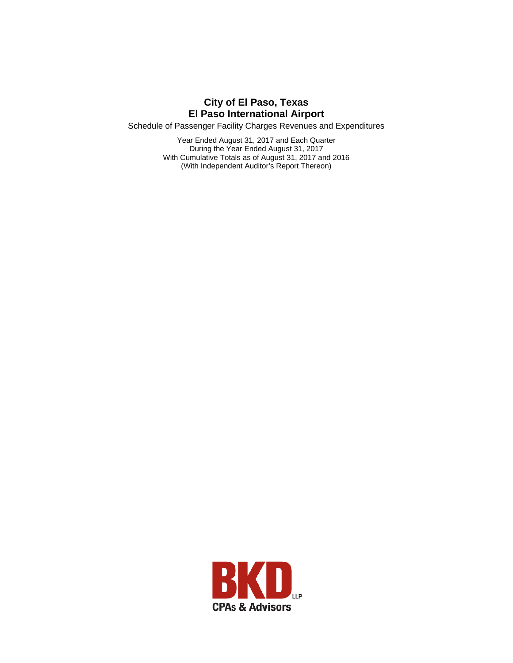Schedule of Passenger Facility Charges Revenues and Expenditures

Year Ended August 31, 2017 and Each Quarter During the Year Ended August 31, 2017 With Cumulative Totals as of August 31, 2017 and 2016 (With Independent Auditor's Report Thereon)

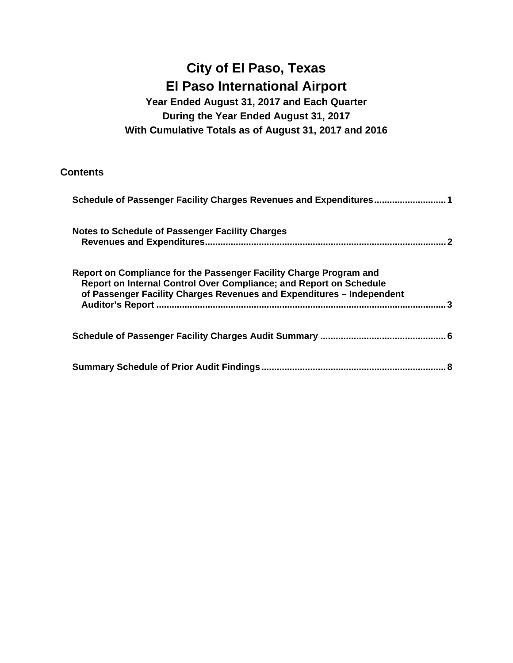## **Year Ended August 31, 2017 and Each Quarter During the Year Ended August 31, 2017 With Cumulative Totals as of August 31, 2017 and 2016**

### **Contents**

| Schedule of Passenger Facility Charges Revenues and Expenditures 1                                                                                                                                                |  |  |  |  |
|-------------------------------------------------------------------------------------------------------------------------------------------------------------------------------------------------------------------|--|--|--|--|
| Notes to Schedule of Passenger Facility Charges                                                                                                                                                                   |  |  |  |  |
| Report on Compliance for the Passenger Facility Charge Program and<br>Report on Internal Control Over Compliance; and Report on Schedule<br>of Passenger Facility Charges Revenues and Expenditures - Independent |  |  |  |  |
|                                                                                                                                                                                                                   |  |  |  |  |
| .8                                                                                                                                                                                                                |  |  |  |  |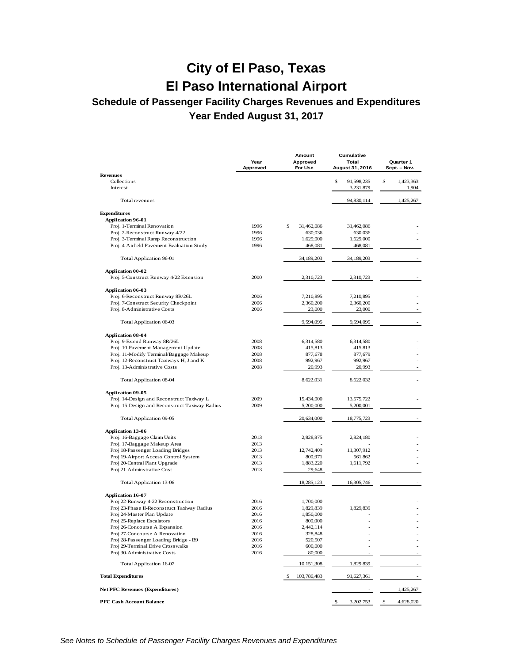## **Schedule of Passenger Facility Charges Revenues and Expenditures Year Ended August 31, 2017**

|                                                                       | Year<br>Approved | Amount<br>Approved<br>For Use | Cumulative<br>Total<br>August 31, 2016 | Quarter 1<br>Sept. - Nov. |
|-----------------------------------------------------------------------|------------------|-------------------------------|----------------------------------------|---------------------------|
| <b>Revenues</b>                                                       |                  |                               |                                        |                           |
| Collections<br>Interest                                               |                  |                               | \$<br>91,598,235<br>3,231,879          | \$<br>1,423,363<br>1,904  |
| Total revenues                                                        |                  |                               | 94,830,114                             | 1,425,267                 |
| <b>Expenditures</b>                                                   |                  |                               |                                        |                           |
| <b>Application 96-01</b>                                              |                  |                               |                                        |                           |
| Proj. 1-Terminal Renovation                                           | 1996             | \$<br>31,462,086              | 31,462,086                             |                           |
| Proj. 2-Reconstruct Runway 4/22                                       | 1996             | 630,036                       | 630,036                                |                           |
| Proj. 3-Terminal Ramp Reconstruction                                  | 1996             | 1,629,000                     | 1,629,000                              |                           |
| Proj. 4-Airfield Pavement Evaluation Study                            | 1996             | 468,081                       | 468,081                                |                           |
| Total Application 96-01                                               |                  | 34,189,203                    | 34,189,203                             |                           |
| <b>Application 00-02</b>                                              |                  |                               |                                        |                           |
| Proj. 5-Construct Runway 4/22 Extension                               | 2000             | 2,310,723                     | 2,310,723                              |                           |
| Application 06-03                                                     |                  |                               |                                        |                           |
| Proj. 6-Reconstruct Runway 8R/26L                                     | 2006             | 7,210,895                     | 7,210,895                              |                           |
| Proj. 7-Construct Security Checkpoint                                 | 2006             | 2,360,200                     | 2,360,200                              |                           |
| Proj. 8-Administrative Costs                                          | 2006             | 23,000                        | 23,000                                 |                           |
| Total Application 06-03                                               |                  | 9,594,095                     | 9,594,095                              |                           |
|                                                                       |                  |                               |                                        |                           |
| <b>Application 08-04</b><br>Proj. 9-Extend Runway 8R/26L              | 2008             | 6,314,580                     | 6,314,580                              |                           |
| Proj. 10-Pavement Management Update                                   | 2008             | 415,813                       | 415,813                                |                           |
| Proj. 11-Modify Terminal/Baggage Makeup                               | 2008             | 877,678                       | 877,679                                |                           |
| Proj. 12-Reconstruct Taxiways H, J and K                              | 2008             | 992,967                       | 992,967                                |                           |
| Proj. 13-Administrative Costs                                         | 2008             | 20,993                        | 20,993                                 |                           |
| Total Application 08-04                                               |                  | 8,622,031                     | 8,622,032                              |                           |
|                                                                       |                  |                               |                                        |                           |
| <b>Application 09-05</b><br>Proj. 14-Design and Reconstruct Taxiway L | 2009             | 15,434,000                    | 13,575,722                             |                           |
| Proj. 15-Design and Reconstruct Taxiway Radius                        | 2009             | 5,200,000                     | 5,200,001                              |                           |
| Total Application 09-05                                               |                  | 20,634,000                    | 18,775,723                             |                           |
|                                                                       |                  |                               |                                        |                           |
| <b>Application 13-06</b>                                              |                  |                               |                                        |                           |
| Proj. 16-Baggage Claim Units                                          | 2013             | 2,828,875                     | 2,824,180                              |                           |
| Proj. 17-Baggage Makeup Area                                          | 2013             |                               |                                        |                           |
| Proj 18-Passenger Loading Bridges                                     | 2013             | 12,742,409                    | 11,307,912                             |                           |
| Proj 19-Airport Access Control System                                 | 2013             | 800,971                       | 561,862                                |                           |
| Proj 20-Central Plant Upgrade                                         | 2013<br>2013     | 1,883,220<br>29,648           | 1,611,792                              |                           |
| Proj 21-Adminstrative Cost                                            |                  |                               |                                        |                           |
| Total Application 13-06                                               |                  | 18,285,123                    | 16,305,746                             |                           |
| <b>Application 16-07</b>                                              |                  |                               |                                        |                           |
| Proj 22-Runway 4-22 Reconstruction                                    | 2016             | 1,700,000                     |                                        |                           |
| Proj 23-Phase II-Reconstruct Taxiway Radius                           | 2016             | 1,829,839                     | 1,829,839                              |                           |
| Proj 24-Master Plan Update                                            | 2016             | 1,850,000                     |                                        |                           |
| Proj 25-Replace Escalators                                            | 2016             | 800,000                       |                                        |                           |
| Proj 26-Concourse A Expansion                                         | 2016             | 2,442,114                     |                                        |                           |
| Proj 27-Concourse A Renovation                                        | 2016             | 328,848                       |                                        |                           |
| Proj 28-Passenger Loading Bridge - B9                                 | 2016             | 520,507                       |                                        |                           |
| Proj 29-Terminal Drive Crosswalks<br>Proj 30-Administrative Costs     | 2016<br>2016     | 600,000<br>80,000             |                                        |                           |
| Total Application 16-07                                               |                  | 10,151,308                    | 1,829,839                              |                           |
|                                                                       |                  |                               |                                        |                           |
| <b>Total Expenditures</b>                                             |                  | 103,786,483                   | 91,627,361                             |                           |
| <b>Net PFC Revenues (Expenditures)</b>                                |                  |                               |                                        | 1,425,267                 |
| <b>PFC Cash Account Balance</b>                                       |                  |                               | \$<br>3,202,753                        | \$<br>4,628,020           |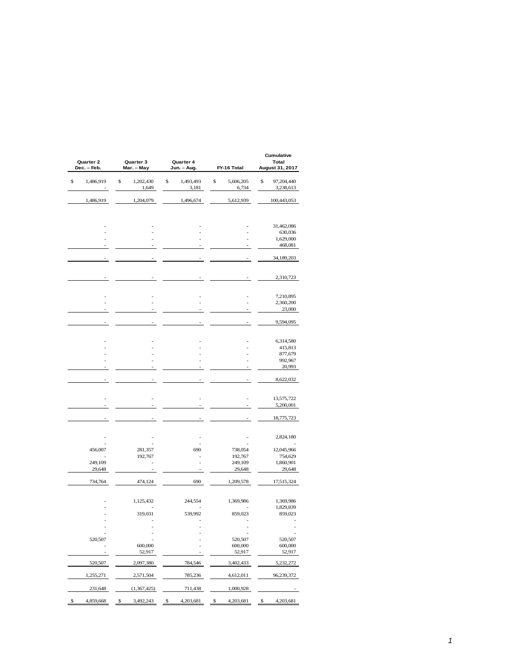| Quarter 2<br>Quarter 3<br>Quarter 4<br><b>Total</b><br>August 31, 2017<br>Dec. - Feb.<br>Mar. - May<br>Jun. - Aug.<br>FY-16 Total<br>\$<br>\$<br>\$<br>\$<br>\$<br>1,486,919<br>1,493,493<br>1,202,430<br>5,606,205<br>97,204,440<br>1,649<br>3,181<br>6,734<br>3,238,613<br>1,204,079<br>1,496,674<br>1,486,919<br>5,612,939<br>100,443,053<br>31,462,086<br>630,036<br>1,629,000<br>34,189,203<br>2,310,723<br>7,210,895<br>2,360,200<br>9,594,095 | Cumulative         |  |
|------------------------------------------------------------------------------------------------------------------------------------------------------------------------------------------------------------------------------------------------------------------------------------------------------------------------------------------------------------------------------------------------------------------------------------------------------|--------------------|--|
|                                                                                                                                                                                                                                                                                                                                                                                                                                                      |                    |  |
|                                                                                                                                                                                                                                                                                                                                                                                                                                                      |                    |  |
|                                                                                                                                                                                                                                                                                                                                                                                                                                                      |                    |  |
|                                                                                                                                                                                                                                                                                                                                                                                                                                                      |                    |  |
|                                                                                                                                                                                                                                                                                                                                                                                                                                                      |                    |  |
|                                                                                                                                                                                                                                                                                                                                                                                                                                                      |                    |  |
|                                                                                                                                                                                                                                                                                                                                                                                                                                                      |                    |  |
|                                                                                                                                                                                                                                                                                                                                                                                                                                                      |                    |  |
|                                                                                                                                                                                                                                                                                                                                                                                                                                                      | 468,081            |  |
|                                                                                                                                                                                                                                                                                                                                                                                                                                                      |                    |  |
|                                                                                                                                                                                                                                                                                                                                                                                                                                                      |                    |  |
|                                                                                                                                                                                                                                                                                                                                                                                                                                                      |                    |  |
|                                                                                                                                                                                                                                                                                                                                                                                                                                                      |                    |  |
|                                                                                                                                                                                                                                                                                                                                                                                                                                                      |                    |  |
|                                                                                                                                                                                                                                                                                                                                                                                                                                                      | 23,000             |  |
|                                                                                                                                                                                                                                                                                                                                                                                                                                                      |                    |  |
| 6,314,580                                                                                                                                                                                                                                                                                                                                                                                                                                            |                    |  |
|                                                                                                                                                                                                                                                                                                                                                                                                                                                      | 415,813            |  |
|                                                                                                                                                                                                                                                                                                                                                                                                                                                      | 877,679            |  |
|                                                                                                                                                                                                                                                                                                                                                                                                                                                      | 992,967            |  |
|                                                                                                                                                                                                                                                                                                                                                                                                                                                      | 20,993             |  |
| 8,622,032                                                                                                                                                                                                                                                                                                                                                                                                                                            |                    |  |
|                                                                                                                                                                                                                                                                                                                                                                                                                                                      |                    |  |
| 13,575,722<br>5,200,001                                                                                                                                                                                                                                                                                                                                                                                                                              |                    |  |
| 18,775,723                                                                                                                                                                                                                                                                                                                                                                                                                                           |                    |  |
|                                                                                                                                                                                                                                                                                                                                                                                                                                                      |                    |  |
| 2,824,180                                                                                                                                                                                                                                                                                                                                                                                                                                            |                    |  |
| 456,007<br>281,357<br>690<br>738,054<br>12,045,966                                                                                                                                                                                                                                                                                                                                                                                                   |                    |  |
| 192,767<br>192,767                                                                                                                                                                                                                                                                                                                                                                                                                                   | 754,629            |  |
| 249,109<br>249,109<br>1,860,901                                                                                                                                                                                                                                                                                                                                                                                                                      |                    |  |
| 29,648<br>29,648                                                                                                                                                                                                                                                                                                                                                                                                                                     | 29,648             |  |
| 734,764<br>690<br>474,124<br>1,209,578<br>17,515,324                                                                                                                                                                                                                                                                                                                                                                                                 |                    |  |
| 1,369,986<br>1,125,432<br>244,554<br>1,369,986                                                                                                                                                                                                                                                                                                                                                                                                       |                    |  |
| 1,829,839                                                                                                                                                                                                                                                                                                                                                                                                                                            |                    |  |
| 319,031<br>539,992<br>859,023                                                                                                                                                                                                                                                                                                                                                                                                                        | 859,023            |  |
|                                                                                                                                                                                                                                                                                                                                                                                                                                                      |                    |  |
|                                                                                                                                                                                                                                                                                                                                                                                                                                                      |                    |  |
| 520,507<br>520,507<br>600,000<br>600,000                                                                                                                                                                                                                                                                                                                                                                                                             | 520,507<br>600,000 |  |
| 52,917<br>52,917                                                                                                                                                                                                                                                                                                                                                                                                                                     | 52,917             |  |
| 784,546<br>3,402,433<br>5,232,272<br>520,507<br>2,097,380                                                                                                                                                                                                                                                                                                                                                                                            |                    |  |
| 96,239,372<br>1,255,271<br>2,571,504<br>785,236<br>4,612,011                                                                                                                                                                                                                                                                                                                                                                                         |                    |  |
| 231,648<br>(1,367,425)<br>711,438<br>1,000,928                                                                                                                                                                                                                                                                                                                                                                                                       |                    |  |
| \$<br>3,492,243<br>$\mathbb{S}$<br>4,203,681<br>$\frac{1}{2}$<br>\$<br>4,203,681<br>4,859,668<br>4,203,681<br>\$                                                                                                                                                                                                                                                                                                                                     |                    |  |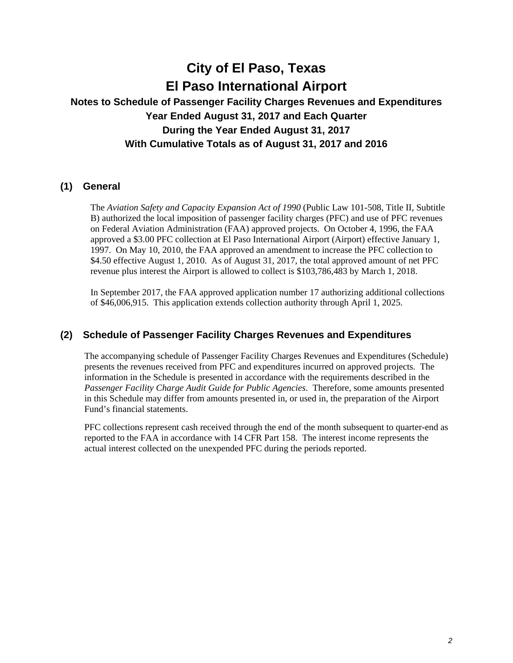## **Notes to Schedule of Passenger Facility Charges Revenues and Expenditures Year Ended August 31, 2017 and Each Quarter During the Year Ended August 31, 2017 With Cumulative Totals as of August 31, 2017 and 2016**

### **(1) General**

The *Aviation Safety and Capacity Expansion Act of 1990* (Public Law 101-508, Title II, Subtitle B) authorized the local imposition of passenger facility charges (PFC) and use of PFC revenues on Federal Aviation Administration (FAA) approved projects. On October 4, 1996, the FAA approved a \$3.00 PFC collection at El Paso International Airport (Airport) effective January 1, 1997. On May 10, 2010, the FAA approved an amendment to increase the PFC collection to \$4.50 effective August 1, 2010. As of August 31, 2017, the total approved amount of net PFC revenue plus interest the Airport is allowed to collect is \$103,786,483 by March 1, 2018.

In September 2017, the FAA approved application number 17 authorizing additional collections of \$46,006,915. This application extends collection authority through April 1, 2025.

## **(2) Schedule of Passenger Facility Charges Revenues and Expenditures**

The accompanying schedule of Passenger Facility Charges Revenues and Expenditures (Schedule) presents the revenues received from PFC and expenditures incurred on approved projects. The information in the Schedule is presented in accordance with the requirements described in the *Passenger Facility Charge Audit Guide for Public Agencies*. Therefore, some amounts presented in this Schedule may differ from amounts presented in, or used in, the preparation of the Airport Fund's financial statements.

PFC collections represent cash received through the end of the month subsequent to quarter-end as reported to the FAA in accordance with 14 CFR Part 158. The interest income represents the actual interest collected on the unexpended PFC during the periods reported.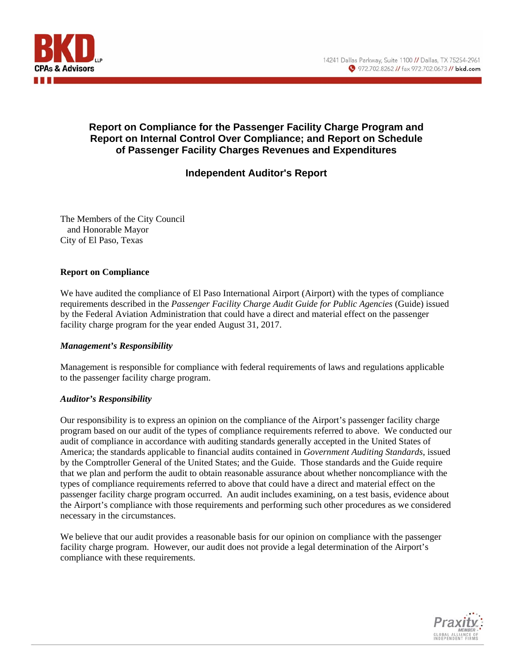### **Report on Compliance for the Passenger Facility Charge Program and Report on Internal Control Over Compliance; and Report on Schedule of Passenger Facility Charges Revenues and Expenditures**

### **Independent Auditor's Report**

The Members of the City Council and Honorable Mayor City of El Paso, Texas

#### **Report on Compliance**

We have audited the compliance of El Paso International Airport (Airport) with the types of compliance requirements described in the *Passenger Facility Charge Audit Guide for Public Agencies* (Guide) issued by the Federal Aviation Administration that could have a direct and material effect on the passenger facility charge program for the year ended August 31, 2017.

#### *Management's Responsibility*

Management is responsible for compliance with federal requirements of laws and regulations applicable to the passenger facility charge program.

#### *Auditor's Responsibility*

Our responsibility is to express an opinion on the compliance of the Airport's passenger facility charge program based on our audit of the types of compliance requirements referred to above. We conducted our audit of compliance in accordance with auditing standards generally accepted in the United States of America; the standards applicable to financial audits contained in *Government Auditing Standards*, issued by the Comptroller General of the United States; and the Guide. Those standards and the Guide require that we plan and perform the audit to obtain reasonable assurance about whether noncompliance with the types of compliance requirements referred to above that could have a direct and material effect on the passenger facility charge program occurred. An audit includes examining, on a test basis, evidence about the Airport's compliance with those requirements and performing such other procedures as we considered necessary in the circumstances.

We believe that our audit provides a reasonable basis for our opinion on compliance with the passenger facility charge program. However, our audit does not provide a legal determination of the Airport's compliance with these requirements.

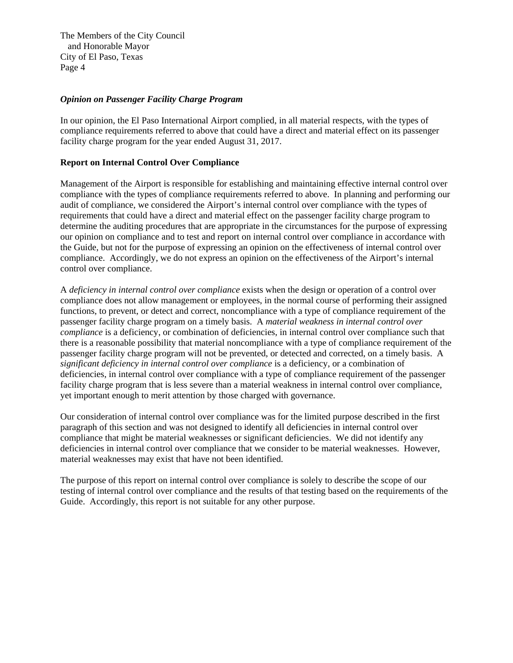The Members of the City Council and Honorable Mayor City of El Paso, Texas Page 4

#### *Opinion on Passenger Facility Charge Program*

In our opinion, the El Paso International Airport complied, in all material respects, with the types of compliance requirements referred to above that could have a direct and material effect on its passenger facility charge program for the year ended August 31, 2017.

#### **Report on Internal Control Over Compliance**

Management of the Airport is responsible for establishing and maintaining effective internal control over compliance with the types of compliance requirements referred to above. In planning and performing our audit of compliance, we considered the Airport's internal control over compliance with the types of requirements that could have a direct and material effect on the passenger facility charge program to determine the auditing procedures that are appropriate in the circumstances for the purpose of expressing our opinion on compliance and to test and report on internal control over compliance in accordance with the Guide, but not for the purpose of expressing an opinion on the effectiveness of internal control over compliance. Accordingly, we do not express an opinion on the effectiveness of the Airport's internal control over compliance.

A *deficiency in internal control over compliance* exists when the design or operation of a control over compliance does not allow management or employees, in the normal course of performing their assigned functions, to prevent, or detect and correct, noncompliance with a type of compliance requirement of the passenger facility charge program on a timely basis. A *material weakness in internal control over compliance* is a deficiency, or combination of deficiencies, in internal control over compliance such that there is a reasonable possibility that material noncompliance with a type of compliance requirement of the passenger facility charge program will not be prevented, or detected and corrected, on a timely basis. A *significant deficiency in internal control over compliance* is a deficiency, or a combination of deficiencies, in internal control over compliance with a type of compliance requirement of the passenger facility charge program that is less severe than a material weakness in internal control over compliance, yet important enough to merit attention by those charged with governance.

Our consideration of internal control over compliance was for the limited purpose described in the first paragraph of this section and was not designed to identify all deficiencies in internal control over compliance that might be material weaknesses or significant deficiencies. We did not identify any deficiencies in internal control over compliance that we consider to be material weaknesses. However, material weaknesses may exist that have not been identified.

The purpose of this report on internal control over compliance is solely to describe the scope of our testing of internal control over compliance and the results of that testing based on the requirements of the Guide. Accordingly, this report is not suitable for any other purpose.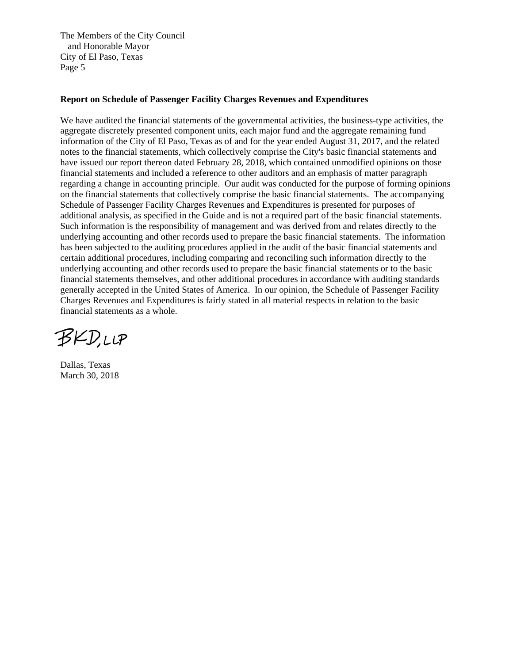The Members of the City Council and Honorable Mayor City of El Paso, Texas Page 5

#### **Report on Schedule of Passenger Facility Charges Revenues and Expenditures**

We have audited the financial statements of the governmental activities, the business-type activities, the aggregate discretely presented component units, each major fund and the aggregate remaining fund information of the City of El Paso, Texas as of and for the year ended August 31, 2017, and the related notes to the financial statements, which collectively comprise the City's basic financial statements and have issued our report thereon dated February 28, 2018, which contained unmodified opinions on those financial statements and included a reference to other auditors and an emphasis of matter paragraph regarding a change in accounting principle. Our audit was conducted for the purpose of forming opinions on the financial statements that collectively comprise the basic financial statements. The accompanying Schedule of Passenger Facility Charges Revenues and Expenditures is presented for purposes of additional analysis, as specified in the Guide and is not a required part of the basic financial statements. Such information is the responsibility of management and was derived from and relates directly to the underlying accounting and other records used to prepare the basic financial statements. The information has been subjected to the auditing procedures applied in the audit of the basic financial statements and certain additional procedures, including comparing and reconciling such information directly to the underlying accounting and other records used to prepare the basic financial statements or to the basic financial statements themselves, and other additional procedures in accordance with auditing standards generally accepted in the United States of America. In our opinion, the Schedule of Passenger Facility Charges Revenues and Expenditures is fairly stated in all material respects in relation to the basic financial statements as a whole.

**BKD,LLP** 

Dallas, Texas March 30, 2018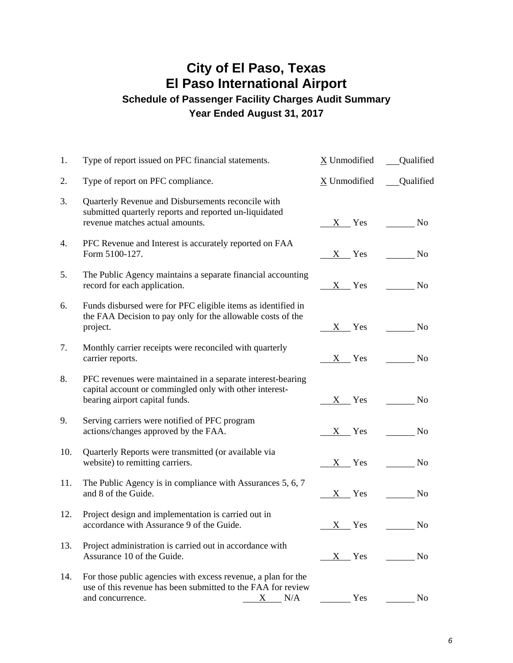## **City of El Paso, Texas El Paso International Airport Schedule of Passenger Facility Charges Audit Summary Year Ended August 31, 2017**

| 1.  | Type of report issued on PFC financial statements.                                                                                                             | X Unmodified          | <b>Qualified</b> |
|-----|----------------------------------------------------------------------------------------------------------------------------------------------------------------|-----------------------|------------------|
| 2.  | Type of report on PFC compliance.                                                                                                                              | X Unmodified          | <b>Qualified</b> |
| 3.  | Quarterly Revenue and Disbursements reconcile with<br>submitted quarterly reports and reported un-liquidated<br>revenue matches actual amounts.                | X Yes                 | N <sub>o</sub>   |
| 4.  | PFC Revenue and Interest is accurately reported on FAA<br>Form 5100-127.                                                                                       | $X$ Yes               | N <sub>o</sub>   |
| 5.  | The Public Agency maintains a separate financial accounting<br>record for each application.                                                                    | $X$ Yes               | N <sub>o</sub>   |
| 6.  | Funds disbursed were for PFC eligible items as identified in<br>the FAA Decision to pay only for the allowable costs of the<br>project.                        | $X$ Yes               | No.              |
| 7.  | Monthly carrier receipts were reconciled with quarterly<br>carrier reports.                                                                                    | $X$ Yes               | No               |
| 8.  | PFC revenues were maintained in a separate interest-bearing<br>capital account or commingled only with other interest-<br>bearing airport capital funds.       |                       | X Yes No         |
| 9.  | Serving carriers were notified of PFC program<br>actions/changes approved by the FAA.                                                                          | $X$ Yes               | No.              |
| 10. | Quarterly Reports were transmitted (or available via<br>website) to remitting carriers.                                                                        | $X$ Yes               | No               |
| 11. | The Public Agency is in compliance with Assurances 5, 6, 7<br>and 8 of the Guide.                                                                              | $X$ Yes               | N <sub>o</sub>   |
| 12. | Project design and implementation is carried out in<br>accordance with Assurance 9 of the Guide.                                                               | <b>Yes</b><br>$X_{-}$ | N <sub>0</sub>   |
| 13. | Project administration is carried out in accordance with<br>Assurance 10 of the Guide.                                                                         | $X$ Yes               | No               |
| 14. | For those public agencies with excess revenue, a plan for the<br>use of this revenue has been submitted to the FAA for review<br>$X \tN/A$<br>and concurrence. | Yes                   | No               |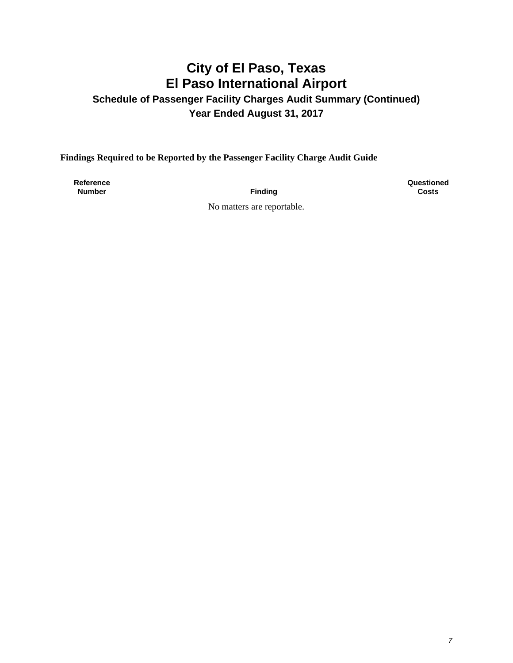## **Schedule of Passenger Facility Charges Audit Summary (Continued) Year Ended August 31, 2017**

#### **Findings Required to be Reported by the Passenger Facility Charge Audit Guide**

**Reference** 

**Finding** 

**Questioned Costs** 

No matters are reportable.